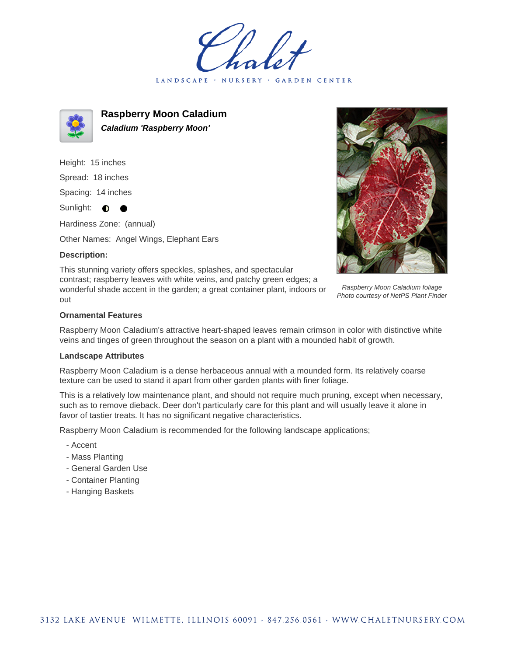LANDSCAPE · NURSERY · GARDEN CENTER



**Raspberry Moon Caladium Caladium 'Raspberry Moon'**

Height: 15 inches Spread: 18 inches Spacing: 14 inches Sunlight:  $\bullet$ 

Hardiness Zone: (annual)

Other Names: Angel Wings, Elephant Ears

## **Description:**

This stunning variety offers speckles, splashes, and spectacular contrast; raspberry leaves with white veins, and patchy green edges; a wonderful shade accent in the garden; a great container plant, indoors or out



Raspberry Moon Caladium foliage Photo courtesy of NetPS Plant Finder

## **Ornamental Features**

Raspberry Moon Caladium's attractive heart-shaped leaves remain crimson in color with distinctive white veins and tinges of green throughout the season on a plant with a mounded habit of growth.

## **Landscape Attributes**

Raspberry Moon Caladium is a dense herbaceous annual with a mounded form. Its relatively coarse texture can be used to stand it apart from other garden plants with finer foliage.

This is a relatively low maintenance plant, and should not require much pruning, except when necessary, such as to remove dieback. Deer don't particularly care for this plant and will usually leave it alone in favor of tastier treats. It has no significant negative characteristics.

Raspberry Moon Caladium is recommended for the following landscape applications;

- Accent
- Mass Planting
- General Garden Use
- Container Planting
- Hanging Baskets